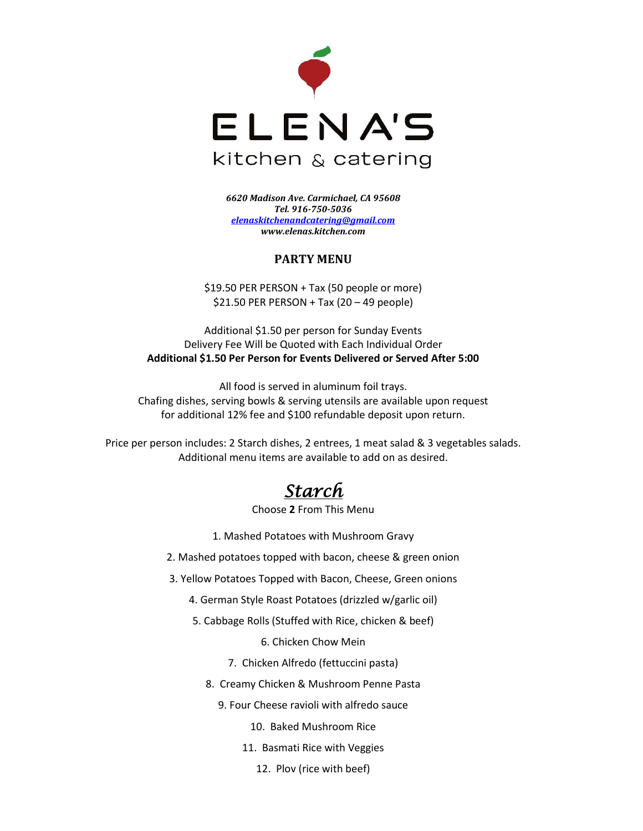

*6620 Madison Ave. Carmichael, CA 95608 Tel. 916-750-5036 [elenaskitchenandcatering@gmail.com](mailto:elenaskitchenandcatering@gmail.com) www.elenas.kitchen.com*

### **PARTY MENU**

\$19.50 PER PERSON + Tax (50 people or more)  $$21.50$  PER PERSON + Tax (20 – 49 people)

Additional \$1.50 per person for Sunday Events Delivery Fee Will be Quoted with Each Individual Order **Additional \$1.50 Per Person for Events Delivered or Served After 5:00**

All food is served in aluminum foil trays. Chafing dishes, serving bowls & serving utensils are available upon request for additional 12% fee and \$100 refundable deposit upon return.

Price per person includes: 2 Starch dishes, 2 entrees, 1 meat salad & 3 vegetables salads. Additional menu items are available to add on as desired.

# *Starch*

Choose **2** From This Menu

1. Mashed Potatoes with Mushroom Gravy

2. Mashed potatoes topped with bacon, cheese & green onion

- 3. Yellow Potatoes Topped with Bacon, Cheese, Green onions
	- 4. German Style Roast Potatoes (drizzled w/garlic oil)
	- 5. Cabbage Rolls (Stuffed with Rice, chicken & beef)

6. Chicken Chow Mein

- 7. Chicken Alfredo (fettuccini pasta)
- 8. Creamy Chicken & Mushroom Penne Pasta
	- 9. Four Cheese ravioli with alfredo sauce

10. Baked Mushroom Rice

- 11. Basmati Rice with Veggies
	- 12. Plov (rice with beef)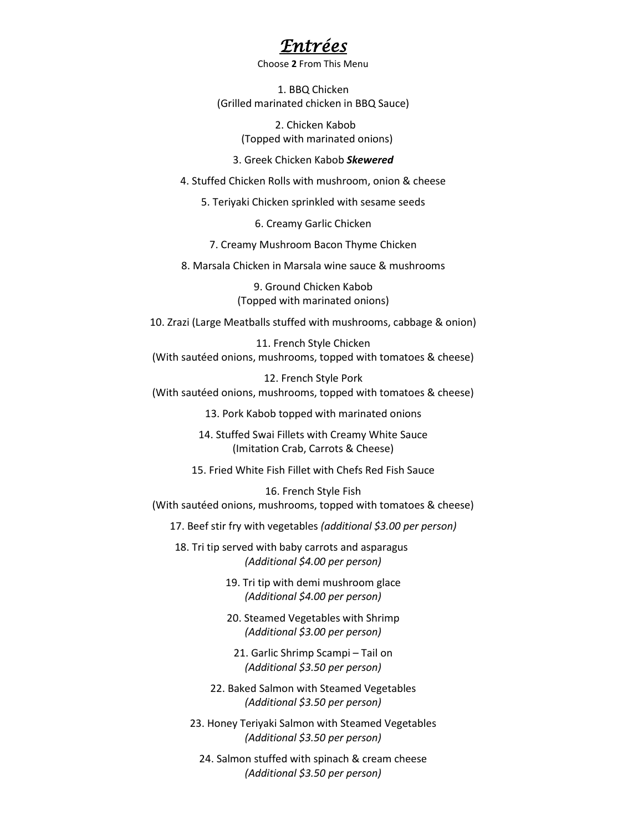### *Entrées*

Choose **2** From This Menu

1. BBQ Chicken (Grilled marinated chicken in BBQ Sauce)

> 2. Chicken Kabob (Topped with marinated onions)

3. Greek Chicken Kabob *Skewered*

4. Stuffed Chicken Rolls with mushroom, onion & cheese

5. Teriyaki Chicken sprinkled with sesame seeds

6. Creamy Garlic Chicken

7. Creamy Mushroom Bacon Thyme Chicken

8. Marsala Chicken in Marsala wine sauce & mushrooms

9. Ground Chicken Kabob (Topped with marinated onions)

10. Zrazi (Large Meatballs stuffed with mushrooms, cabbage & onion)

11. French Style Chicken (With sautéed onions, mushrooms, topped with tomatoes & cheese)

12. French Style Pork (With sautéed onions, mushrooms, topped with tomatoes & cheese)

13. Pork Kabob topped with marinated onions

14. Stuffed Swai Fillets with Creamy White Sauce (Imitation Crab, Carrots & Cheese)

15. Fried White Fish Fillet with Chefs Red Fish Sauce

16. French Style Fish (With sautéed onions, mushrooms, topped with tomatoes & cheese)

17. Beef stir fry with vegetables *(additional \$3.00 per person)*

 18. Tri tip served with baby carrots and asparagus *(Additional \$4.00 per person)* 

> 19. Tri tip with demi mushroom glace *(Additional \$4.00 per person)*

> 20. Steamed Vegetables with Shrimp *(Additional \$3.00 per person)*

21. Garlic Shrimp Scampi – Tail on *(Additional \$3.50 per person)*

22. Baked Salmon with Steamed Vegetables *(Additional \$3.50 per person)* 

23. Honey Teriyaki Salmon with Steamed Vegetables *(Additional \$3.50 per person)*

24. Salmon stuffed with spinach & cream cheese *(Additional \$3.50 per person)*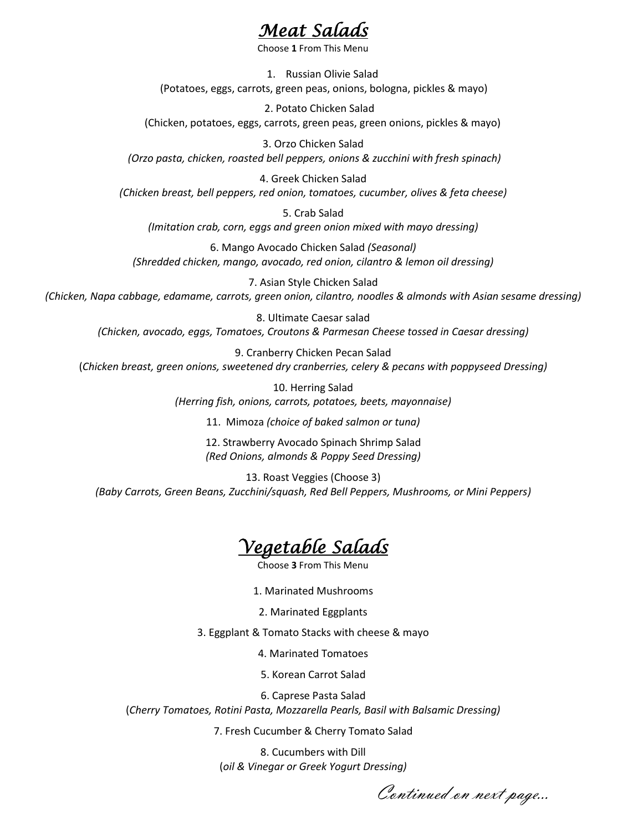## *Meat Salads*

Choose **1** From This Menu

1. Russian Olivie Salad (Potatoes, eggs, carrots, green peas, onions, bologna, pickles & mayo)

 2. Potato Chicken Salad (Chicken, potatoes, eggs, carrots, green peas, green onions, pickles & mayo)

3. Orzo Chicken Salad *(Orzo pasta, chicken, roasted bell peppers, onions & zucchini with fresh spinach)*

4. Greek Chicken Salad *(Chicken breast, bell peppers, red onion, tomatoes, cucumber, olives & feta cheese)*

5. Crab Salad *(Imitation crab, corn, eggs and green onion mixed with mayo dressing)*

6. Mango Avocado Chicken Salad *(Seasonal) (Shredded chicken, mango, avocado, red onion, cilantro & lemon oil dressing)*

7. Asian Style Chicken Salad *(Chicken, Napa cabbage, edamame, carrots, green onion, cilantro, noodles & almonds with Asian sesame dressing)*

8. Ultimate Caesar salad *(Chicken, avocado, eggs, Tomatoes, Croutons & Parmesan Cheese tossed in Caesar dressing)*

9. Cranberry Chicken Pecan Salad (*Chicken breast, green onions, sweetened dry cranberries, celery & pecans with poppyseed Dressing)*

> 10. Herring Salad *(Herring fish, onions, carrots, potatoes, beets, mayonnaise)*

> > 11. Mimoza *(choice of baked salmon or tuna)*

12. Strawberry Avocado Spinach Shrimp Salad *(Red Onions, almonds & Poppy Seed Dressing)*

13. Roast Veggies (Choose 3) *(Baby Carrots, Green Beans, Zucchini/squash, Red Bell Peppers, Mushrooms, or Mini Peppers)*

# *Vegetable Salads*

**Choose 3 From This Menu** 

1. Marinated Mushrooms

2. Marinated Eggplants

3. Eggplant & Tomato Stacks with cheese & mayo

4. Marinated Tomatoes

5. Korean Carrot Salad

6. Caprese Pasta Salad (*Cherry Tomatoes, Rotini Pasta, Mozzarella Pearls, Basil with Balsamic Dressing)*

7. Fresh Cucumber & Cherry Tomato Salad

8. Cucumbers with Dill (*oil & Vinegar or Greek Yogurt Dressing)*

Continued on next page…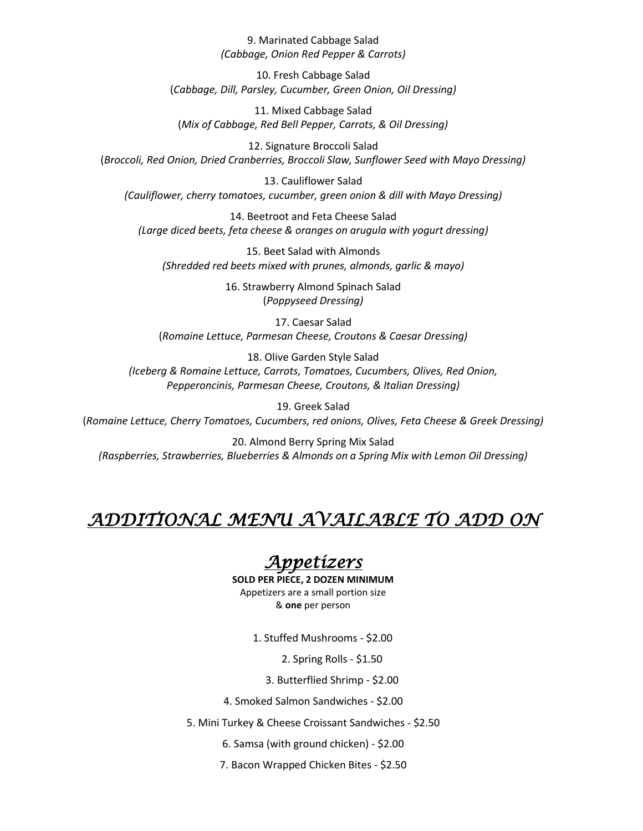#### 9. Marinated Cabbage Salad *(Cabbage, Onion Red Pepper & Carrots)*

10. Fresh Cabbage Salad (*Cabbage, Dill, Parsley, Cucumber, Green Onion, Oil Dressing)*

11. Mixed Cabbage Salad (*Mix of Cabbage, Red Bell Pepper, Carrots, & Oil Dressing)*

12. Signature Broccoli Salad (*Broccoli, Red Onion, Dried Cranberries, Broccoli Slaw, Sunflower Seed with Mayo Dressing)*

13. Cauliflower Salad *(Cauliflower, cherry tomatoes, cucumber, green onion & dill with Mayo Dressing)*

14. Beetroot and Feta Cheese Salad *(Large diced beets, feta cheese & oranges on arugula with yogurt dressing)*

15. Beet Salad with Almonds *(Shredded red beets mixed with prunes, almonds, garlic & mayo)*

> 16. Strawberry Almond Spinach Salad (*Poppyseed Dressing)*

17. Caesar Salad (*Romaine Lettuce, Parmesan Cheese, Croutons & Caesar Dressing)*

18. Olive Garden Style Salad *(Iceberg & Romaine Lettuce, Carrots, Tomatoes, Cucumbers, Olives, Red Onion, Pepperoncinis, Parmesan Cheese, Croutons, & Italian Dressing)*

19. Greek Salad (*Romaine Lettuce, Cherry Tomatoes, Cucumbers, red onions, Olives, Feta Cheese & Greek Dressing)*

20. Almond Berry Spring Mix Salad *(Raspberries, Strawberries, Blueberries & Almonds on a Spring Mix with Lemon Oil Dressing)*

# *ADDITIONAL MENU AVAILABLE TO ADD ON*

## *Appetizers*

**SOLD PER PIECE, 2 DOZEN MINIMUM** Appetizers are a small portion size & **one** per person

1. Stuffed Mushrooms - \$2.00

2. Spring Rolls - \$1.50

3. Butterflied Shrimp - \$2.00

4. Smoked Salmon Sandwiches - \$2.00

5. Mini Turkey & Cheese Croissant Sandwiches - \$2.50

6. Samsa (with ground chicken) - \$2.00

7. Bacon Wrapped Chicken Bites - \$2.50